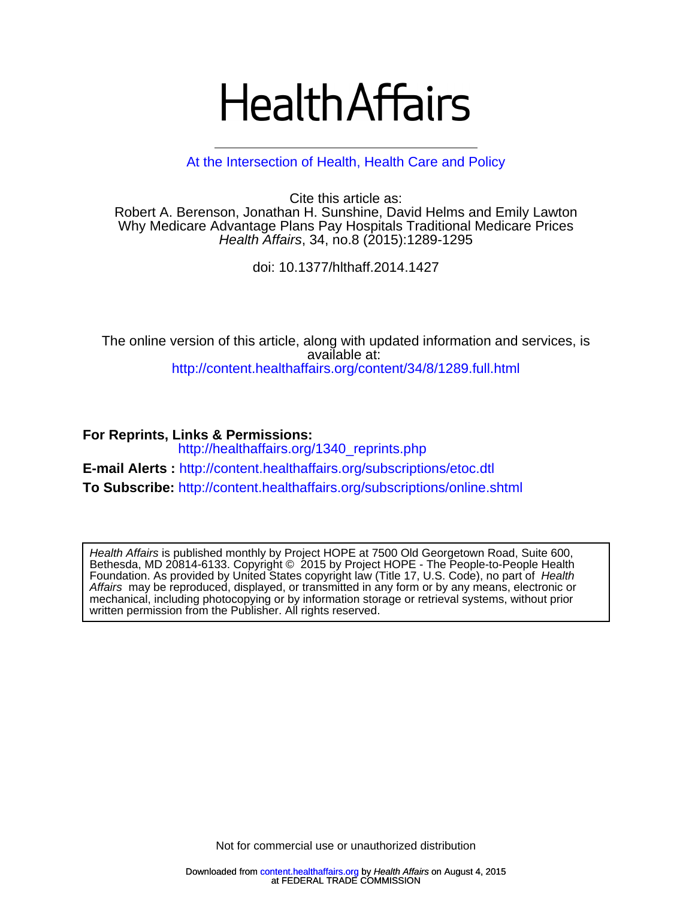# **Health Affairs**

## [At the Intersection of Health, Health Care and Policy](http://www.healthaffairs.org)

Health Affairs, 34, no.8 (2015):1289-1295 Why Medicare Advantage Plans Pay Hospitals Traditional Medicare Prices Robert A. Berenson, Jonathan H. Sunshine, David Helms and Emily Lawton Cite this article as:

doi: 10.1377/hlthaff.2014.1427

<http://content.healthaffairs.org/content/34/8/1289.full.html> available at: The online version of this article, along with updated information and services, is

**For Reprints, Links & Permissions:**  [http://healthaffairs.org/1340\\_reprints.php](http://healthaffairs.org/1340_reprints.php) **E-mail Alerts :** <http://content.healthaffairs.org/subscriptions/etoc.dtl> **To Subscribe:** <http://content.healthaffairs.org/subscriptions/online.shtml>

written permission from the Publisher. All rights reserved. mechanical, including photocopying or by information storage or retrieval systems, without prior Affairs may be reproduced, displayed, or transmitted in any form or by any means, electronic or Foundation. As provided by United States copyright law (Title 17, U.S. Code), no part of Health Bethesda, MD 20814-6133. Copyright © 2015 by Project HOPE - The People-to-People Health Health Affairs is published monthly by Project HOPE at 7500 Old Georgetown Road, Suite 600,

Not for commercial use or unauthorized distribution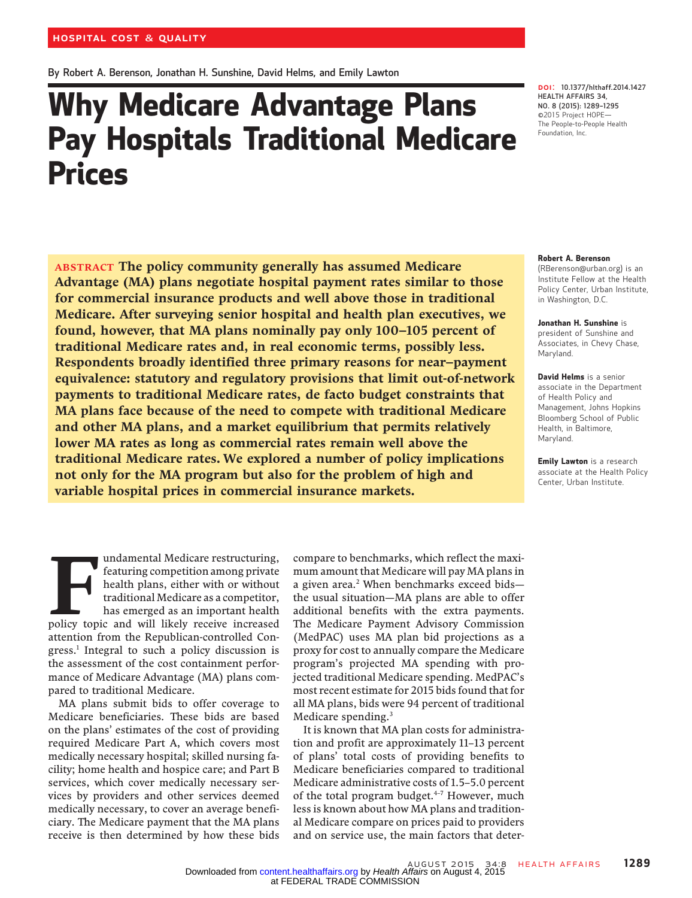By Robert A. Berenson, Jonathan H. Sunshine, David Helms, and Emily Lawton

# Why Medicare Advantage Plans Pay Hospitals Traditional Medicare Prices

DOI: 10.1377/hlthaff.2014.1427 HEALTH AFFAIRS 34, **DOI: 10.1377/hlthaff.2(**<br>HEALTH AFFAIRS 34,<br>NO. 8 (2015): 1289–1295<br>©2015 Project HOPE— The People-to-People Health Foundation, Inc.

### ABSTRACT The policy community generally has assumed Medicare Advantage (MA) plans negotiate hospital payment rates similar to those for commercial insurance products and well above those in traditional Medicare. After surveying senior hospital and health plan executives, we found, however, that MA plans nominally pay only 100–105 percent of traditional Medicare rates and, in real economic terms, possibly less. Respondents broadly identified three primary reasons for near–payment equivalence: statutory and regulatory provisions that limit out-of-network payments to traditional Medicare rates, de facto budget constraints that MA plans face because of the need to compete with traditional Medicare and other MA plans, and a market equilibrium that permits relatively lower MA rates as long as commercial rates remain well above the traditional Medicare rates. We explored a number of policy implications not only for the MA program but also for the problem of high and variable hospital prices in commercial insurance markets.

Robert A. Berenson

(RBerenson@urban.org) is an Institute Fellow at the Health Policy Center, Urban Institute, in Washington, D.C.

Jonathan H. Sunshine is president of Sunshine and Associates, in Chevy Chase, Maryland.

David Helms is a senior associate in the Department of Health Policy and Management, Johns Hopkins Bloomberg School of Public Health, in Baltimore, Maryland.

**Emily Lawton** is a research associate at the Health Policy Center, Urban Institute.

F undamental Medicare restructuring,<br>
featuring competition among private<br>
health plans, either with or without<br>
traditional Medicare as a competitor,<br>
has emerged as an important health<br>
policy topic and will likely recei featuring competition among private health plans, either with or without traditional Medicare as a competitor, has emerged as an important health attention from the Republican-controlled Congress.1 Integral to such a policy discussion is the assessment of the cost containment performance of Medicare Advantage (MA) plans compared to traditional Medicare.

MA plans submit bids to offer coverage to Medicare beneficiaries. These bids are based on the plans' estimates of the cost of providing required Medicare Part A, which covers most medically necessary hospital; skilled nursing facility; home health and hospice care; and Part B services, which cover medically necessary services by providers and other services deemed medically necessary, to cover an average beneficiary. The Medicare payment that the MA plans receive is then determined by how these bids

compare to benchmarks, which reflect the maximum amount that Medicare will pay MA plans in a given area.<sup>2</sup> When benchmarks exceed bids the usual situation—MA plans are able to offer additional benefits with the extra payments. The Medicare Payment Advisory Commission (MedPAC) uses MA plan bid projections as a proxy for cost to annually compare the Medicare program's projected MA spending with projected traditional Medicare spending. MedPAC's most recent estimate for 2015 bids found that for all MA plans, bids were 94 percent of traditional Medicare spending.<sup>3</sup>

It is known that MA plan costs for administration and profit are approximately 11–13 percent of plans' total costs of providing benefits to Medicare beneficiaries compared to traditional Medicare administrative costs of 1.5–5.0 percent of the total program budget. $4-7$  However, much less is known about how MA plans and traditional Medicare compare on prices paid to providers and on service use, the main factors that deter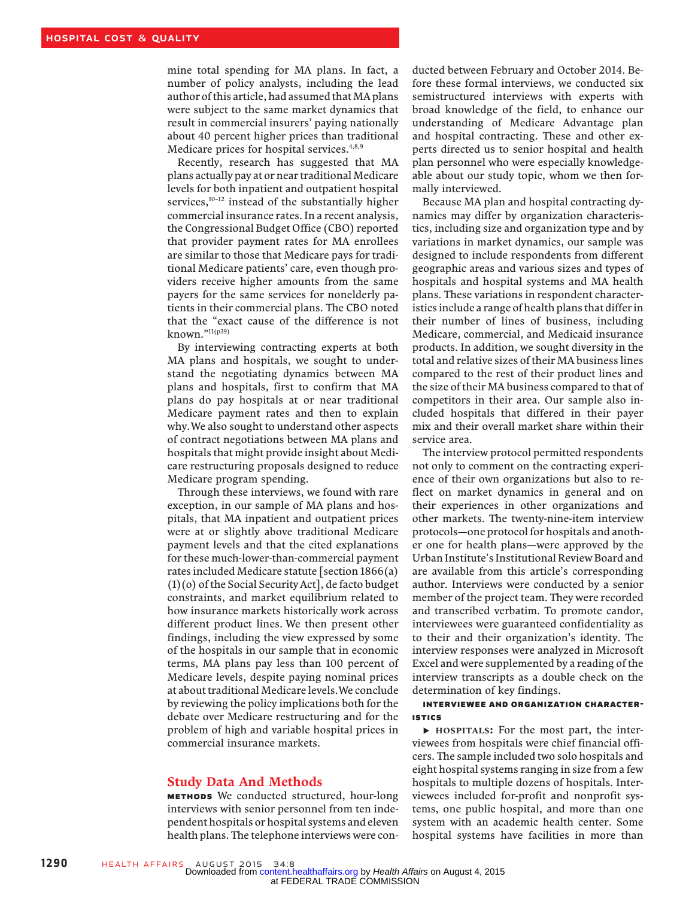mine total spending for MA plans. In fact, a number of policy analysts, including the lead author of this article, had assumed that MA plans were subject to the same market dynamics that result in commercial insurers' paying nationally about 40 percent higher prices than traditional Medicare prices for hospital services.<sup>4,8,9</sup>

Recently, research has suggested that MA plans actually pay at or near traditional Medicare levels for both inpatient and outpatient hospital services,<sup>10-12</sup> instead of the substantially higher commercial insurance rates. In a recent analysis, the Congressional Budget Office (CBO) reported that provider payment rates for MA enrollees are similar to those that Medicare pays for traditional Medicare patients' care, even though providers receive higher amounts from the same payers for the same services for nonelderly patients in their commercial plans. The CBO noted that the "exact cause of the difference is not known."11(p39)

By interviewing contracting experts at both MA plans and hospitals, we sought to understand the negotiating dynamics between MA plans and hospitals, first to confirm that MA plans do pay hospitals at or near traditional Medicare payment rates and then to explain why.We also sought to understand other aspects of contract negotiations between MA plans and hospitals that might provide insight about Medicare restructuring proposals designed to reduce Medicare program spending.

Through these interviews, we found with rare exception, in our sample of MA plans and hospitals, that MA inpatient and outpatient prices were at or slightly above traditional Medicare payment levels and that the cited explanations for these much-lower-than-commercial payment rates included Medicare statute [section 1866(a) (1)(o) of the Social Security Act], de facto budget constraints, and market equilibrium related to how insurance markets historically work across different product lines. We then present other findings, including the view expressed by some of the hospitals in our sample that in economic terms, MA plans pay less than 100 percent of Medicare levels, despite paying nominal prices at about traditional Medicare levels.We conclude by reviewing the policy implications both for the debate over Medicare restructuring and for the problem of high and variable hospital prices in commercial insurance markets.

#### Study Data And Methods

Methods We conducted structured, hour-long interviews with senior personnel from ten independent hospitals or hospital systems and eleven health plans. The telephone interviews were conducted between February and October 2014. Before these formal interviews, we conducted six semistructured interviews with experts with broad knowledge of the field, to enhance our understanding of Medicare Advantage plan and hospital contracting. These and other experts directed us to senior hospital and health plan personnel who were especially knowledgeable about our study topic, whom we then formally interviewed.

Because MA plan and hospital contracting dynamics may differ by organization characteristics, including size and organization type and by variations in market dynamics, our sample was designed to include respondents from different geographic areas and various sizes and types of hospitals and hospital systems and MA health plans. These variations in respondent characteristics include a range of health plans that differ in their number of lines of business, including Medicare, commercial, and Medicaid insurance products. In addition, we sought diversity in the total and relative sizes of their MA business lines compared to the rest of their product lines and the size of their MA business compared to that of competitors in their area. Our sample also included hospitals that differed in their payer mix and their overall market share within their service area.

The interview protocol permitted respondents not only to comment on the contracting experience of their own organizations but also to reflect on market dynamics in general and on their experiences in other organizations and other markets. The twenty-nine-item interview protocols—one protocol for hospitals and another one for health plans—were approved by the Urban Institute's Institutional Review Board and are available from this article's corresponding author. Interviews were conducted by a senior member of the project team. They were recorded and transcribed verbatim. To promote candor, interviewees were guaranteed confidentiality as to their and their organization's identity. The interview responses were analyzed in Microsoft Excel and were supplemented by a reading of the interview transcripts as a double check on the determination of key findings.

#### Interviewee And Organization Characteristics

▸ HOSPITALS: For the most part, the interviewees from hospitals were chief financial officers. The sample included two solo hospitals and eight hospital systems ranging in size from a few hospitals to multiple dozens of hospitals. Interviewees included for-profit and nonprofit systems, one public hospital, and more than one system with an academic health center. Some hospital systems have facilities in more than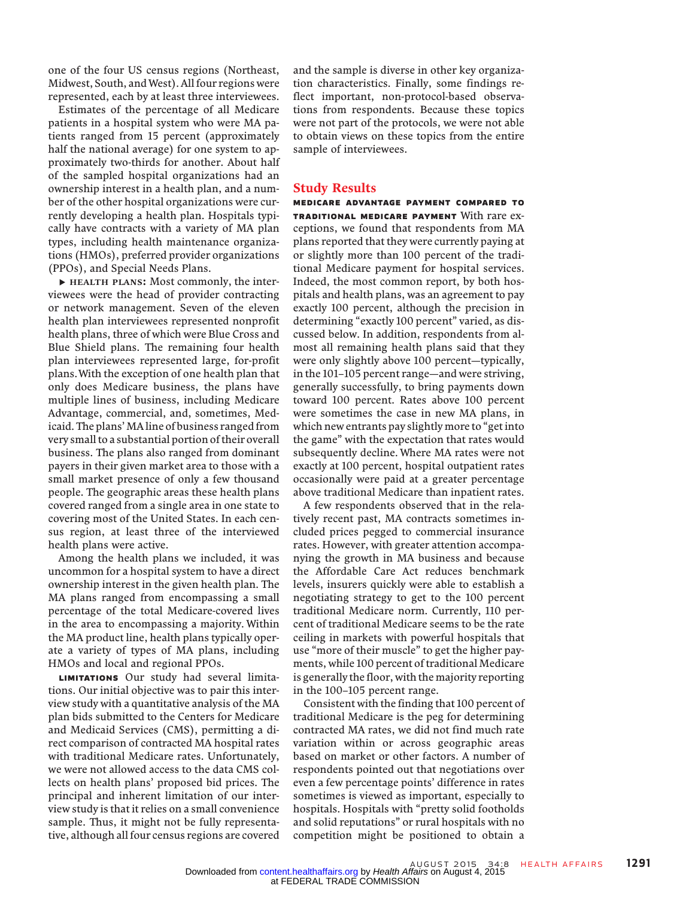one of the four US census regions (Northeast, Midwest, South, and West). All four regions were represented, each by at least three interviewees.

Estimates of the percentage of all Medicare patients in a hospital system who were MA patients ranged from 15 percent (approximately half the national average) for one system to approximately two-thirds for another. About half of the sampled hospital organizations had an ownership interest in a health plan, and a number of the other hospital organizations were currently developing a health plan. Hospitals typically have contracts with a variety of MA plan types, including health maintenance organizations (HMOs), preferred provider organizations (PPOs), and Special Needs Plans.

▸ HEALTH PLANS: Most commonly, the interviewees were the head of provider contracting or network management. Seven of the eleven health plan interviewees represented nonprofit health plans, three of which were Blue Cross and Blue Shield plans. The remaining four health plan interviewees represented large, for-profit plans.With the exception of one health plan that only does Medicare business, the plans have multiple lines of business, including Medicare Advantage, commercial, and, sometimes, Medicaid. The plans'MA line of business ranged from very small to a substantial portion of their overall business. The plans also ranged from dominant payers in their given market area to those with a small market presence of only a few thousand people. The geographic areas these health plans covered ranged from a single area in one state to covering most of the United States. In each census region, at least three of the interviewed health plans were active.

Among the health plans we included, it was uncommon for a hospital system to have a direct ownership interest in the given health plan. The MA plans ranged from encompassing a small percentage of the total Medicare-covered lives in the area to encompassing a majority. Within the MA product line, health plans typically operate a variety of types of MA plans, including HMOs and local and regional PPOs.

Limitations Our study had several limitations. Our initial objective was to pair this interview study with a quantitative analysis of the MA plan bids submitted to the Centers for Medicare and Medicaid Services (CMS), permitting a direct comparison of contracted MA hospital rates with traditional Medicare rates. Unfortunately, we were not allowed access to the data CMS collects on health plans' proposed bid prices. The principal and inherent limitation of our interview study is that it relies on a small convenience sample. Thus, it might not be fully representative, although all four census regions are covered

and the sample is diverse in other key organization characteristics. Finally, some findings reflect important, non-protocol-based observations from respondents. Because these topics were not part of the protocols, we were not able to obtain views on these topics from the entire sample of interviewees.

#### Study Results

Medicare Advantage Payment Compared To Traditional Medicare Payment With rare exceptions, we found that respondents from MA plans reported that they were currently paying at or slightly more than 100 percent of the traditional Medicare payment for hospital services. Indeed, the most common report, by both hospitals and health plans, was an agreement to pay exactly 100 percent, although the precision in determining "exactly 100 percent" varied, as discussed below. In addition, respondents from almost all remaining health plans said that they were only slightly above 100 percent—typically, in the 101–105 percent range—and were striving, generally successfully, to bring payments down toward 100 percent. Rates above 100 percent were sometimes the case in new MA plans, in which new entrants pay slightly more to "get into the game" with the expectation that rates would subsequently decline. Where MA rates were not exactly at 100 percent, hospital outpatient rates occasionally were paid at a greater percentage above traditional Medicare than inpatient rates.

A few respondents observed that in the relatively recent past, MA contracts sometimes included prices pegged to commercial insurance rates. However, with greater attention accompanying the growth in MA business and because the Affordable Care Act reduces benchmark levels, insurers quickly were able to establish a negotiating strategy to get to the 100 percent traditional Medicare norm. Currently, 110 percent of traditional Medicare seems to be the rate ceiling in markets with powerful hospitals that use "more of their muscle" to get the higher payments, while 100 percent of traditional Medicare is generally the floor, with the majority reporting in the 100–105 percent range.

Consistent with the finding that 100 percent of traditional Medicare is the peg for determining contracted MA rates, we did not find much rate variation within or across geographic areas based on market or other factors. A number of respondents pointed out that negotiations over even a few percentage points' difference in rates sometimes is viewed as important, especially to hospitals. Hospitals with "pretty solid footholds and solid reputations" or rural hospitals with no competition might be positioned to obtain a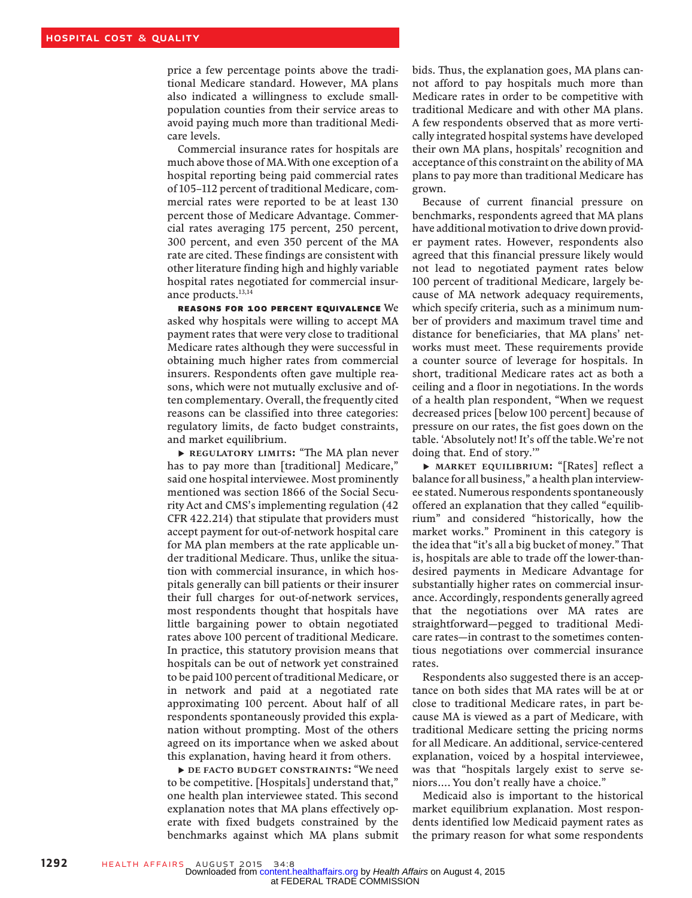price a few percentage points above the traditional Medicare standard. However, MA plans also indicated a willingness to exclude smallpopulation counties from their service areas to avoid paying much more than traditional Medicare levels.

Commercial insurance rates for hospitals are much above those of MA.With one exception of a hospital reporting being paid commercial rates of 105–112 percent of traditional Medicare, commercial rates were reported to be at least 130 percent those of Medicare Advantage. Commercial rates averaging 175 percent, 250 percent, 300 percent, and even 350 percent of the MA rate are cited. These findings are consistent with other literature finding high and highly variable hospital rates negotiated for commercial insurance products.<sup>13,14</sup>

Reasons For 100 Percent Equivalence We asked why hospitals were willing to accept MA payment rates that were very close to traditional Medicare rates although they were successful in obtaining much higher rates from commercial insurers. Respondents often gave multiple reasons, which were not mutually exclusive and often complementary. Overall, the frequently cited reasons can be classified into three categories: regulatory limits, de facto budget constraints, and market equilibrium.

▸ REGULATORY LIMITS: "The MA plan never has to pay more than [traditional] Medicare," said one hospital interviewee. Most prominently mentioned was section 1866 of the Social Security Act and CMS's implementing regulation (42 CFR 422.214) that stipulate that providers must accept payment for out-of-network hospital care for MA plan members at the rate applicable under traditional Medicare. Thus, unlike the situation with commercial insurance, in which hospitals generally can bill patients or their insurer their full charges for out-of-network services, most respondents thought that hospitals have little bargaining power to obtain negotiated rates above 100 percent of traditional Medicare. In practice, this statutory provision means that hospitals can be out of network yet constrained to be paid 100 percent of traditional Medicare, or in network and paid at a negotiated rate approximating 100 percent. About half of all respondents spontaneously provided this explanation without prompting. Most of the others agreed on its importance when we asked about this explanation, having heard it from others.

▸ DE FACTO BUDGET CONSTRAINTS: "We need to be competitive. [Hospitals] understand that," one health plan interviewee stated. This second explanation notes that MA plans effectively operate with fixed budgets constrained by the benchmarks against which MA plans submit

bids. Thus, the explanation goes, MA plans cannot afford to pay hospitals much more than Medicare rates in order to be competitive with traditional Medicare and with other MA plans. A few respondents observed that as more vertically integrated hospital systems have developed their own MA plans, hospitals' recognition and acceptance of this constraint on the ability of MA plans to pay more than traditional Medicare has grown.

Because of current financial pressure on benchmarks, respondents agreed that MA plans have additional motivation to drive down provider payment rates. However, respondents also agreed that this financial pressure likely would not lead to negotiated payment rates below 100 percent of traditional Medicare, largely because of MA network adequacy requirements, which specify criteria, such as a minimum number of providers and maximum travel time and distance for beneficiaries, that MA plans' networks must meet. These requirements provide a counter source of leverage for hospitals. In short, traditional Medicare rates act as both a ceiling and a floor in negotiations. In the words of a health plan respondent, "When we request decreased prices [below 100 percent] because of pressure on our rates, the fist goes down on the table. 'Absolutely not! It's off the table.We're not doing that. End of story.'"

▸ MARKET EQUILIBRIUM: "[Rates] reflect a balance for all business," a health plan interviewee stated. Numerous respondents spontaneously offered an explanation that they called "equilibrium" and considered "historically, how the market works." Prominent in this category is the idea that "it's all a big bucket of money." That is, hospitals are able to trade off the lower-thandesired payments in Medicare Advantage for substantially higher rates on commercial insurance. Accordingly, respondents generally agreed that the negotiations over MA rates are straightforward—pegged to traditional Medicare rates—in contrast to the sometimes contentious negotiations over commercial insurance rates.

Respondents also suggested there is an acceptance on both sides that MA rates will be at or close to traditional Medicare rates, in part because MA is viewed as a part of Medicare, with traditional Medicare setting the pricing norms for all Medicare. An additional, service-centered explanation, voiced by a hospital interviewee, was that "hospitals largely exist to serve seniors…. You don't really have a choice."

Medicaid also is important to the historical market equilibrium explanation. Most respondents identified low Medicaid payment rates as the primary reason for what some respondents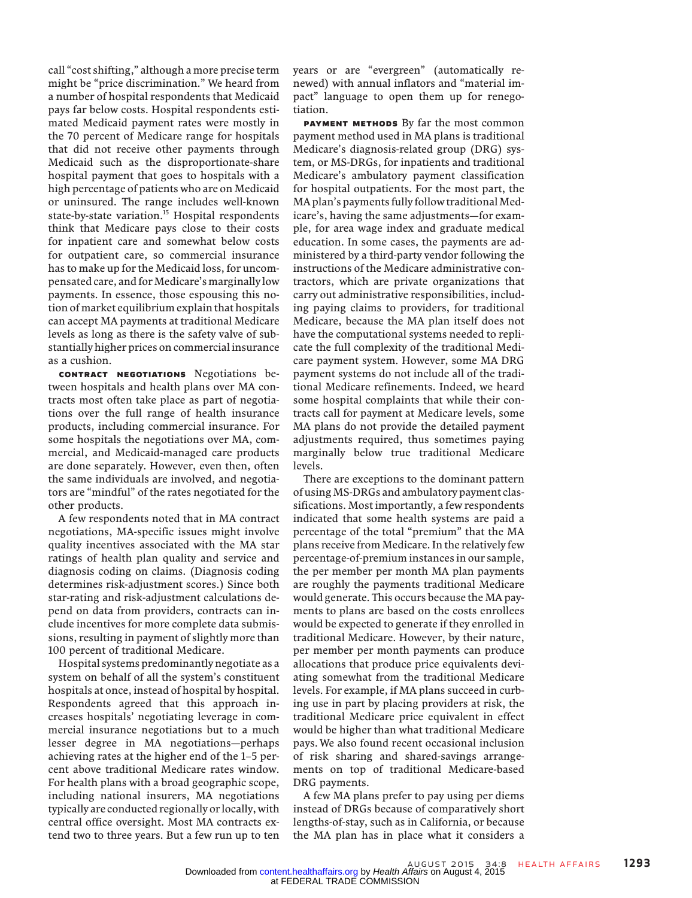call "cost shifting," although a more precise term might be "price discrimination." We heard from a number of hospital respondents that Medicaid pays far below costs. Hospital respondents estimated Medicaid payment rates were mostly in the 70 percent of Medicare range for hospitals that did not receive other payments through Medicaid such as the disproportionate-share hospital payment that goes to hospitals with a high percentage of patients who are on Medicaid or uninsured. The range includes well-known state-by-state variation.<sup>15</sup> Hospital respondents think that Medicare pays close to their costs for inpatient care and somewhat below costs for outpatient care, so commercial insurance has to make up for the Medicaid loss, for uncompensated care, and for Medicare's marginally low payments. In essence, those espousing this notion of market equilibrium explain that hospitals can accept MA payments at traditional Medicare levels as long as there is the safety valve of substantially higher prices on commercial insurance as a cushion.

Contract Negotiations Negotiations between hospitals and health plans over MA contracts most often take place as part of negotiations over the full range of health insurance products, including commercial insurance. For some hospitals the negotiations over MA, commercial, and Medicaid-managed care products are done separately. However, even then, often the same individuals are involved, and negotiators are "mindful" of the rates negotiated for the other products.

A few respondents noted that in MA contract negotiations, MA-specific issues might involve quality incentives associated with the MA star ratings of health plan quality and service and diagnosis coding on claims. (Diagnosis coding determines risk-adjustment scores.) Since both star-rating and risk-adjustment calculations depend on data from providers, contracts can include incentives for more complete data submissions, resulting in payment of slightly more than 100 percent of traditional Medicare.

Hospital systems predominantly negotiate as a system on behalf of all the system's constituent hospitals at once, instead of hospital by hospital. Respondents agreed that this approach increases hospitals' negotiating leverage in commercial insurance negotiations but to a much lesser degree in MA negotiations—perhaps achieving rates at the higher end of the 1–5 percent above traditional Medicare rates window. For health plans with a broad geographic scope, including national insurers, MA negotiations typically are conducted regionally or locally, with central office oversight. Most MA contracts extend two to three years. But a few run up to ten

years or are "evergreen" (automatically renewed) with annual inflators and "material impact" language to open them up for renegotiation.

PAYMENT METHODS By far the most common payment method used in MA plans is traditional Medicare's diagnosis-related group (DRG) system, or MS-DRGs, for inpatients and traditional Medicare's ambulatory payment classification for hospital outpatients. For the most part, the MA plan's payments fully follow traditional Medicare's, having the same adjustments—for example, for area wage index and graduate medical education. In some cases, the payments are administered by a third-party vendor following the instructions of the Medicare administrative contractors, which are private organizations that carry out administrative responsibilities, including paying claims to providers, for traditional Medicare, because the MA plan itself does not have the computational systems needed to replicate the full complexity of the traditional Medicare payment system. However, some MA DRG payment systems do not include all of the traditional Medicare refinements. Indeed, we heard some hospital complaints that while their contracts call for payment at Medicare levels, some MA plans do not provide the detailed payment adjustments required, thus sometimes paying marginally below true traditional Medicare levels.

There are exceptions to the dominant pattern of using MS-DRGs and ambulatory payment classifications. Most importantly, a few respondents indicated that some health systems are paid a percentage of the total "premium" that the MA plans receive from Medicare. In the relatively few percentage-of-premium instances in our sample, the per member per month MA plan payments are roughly the payments traditional Medicare would generate. This occurs because the MA payments to plans are based on the costs enrollees would be expected to generate if they enrolled in traditional Medicare. However, by their nature, per member per month payments can produce allocations that produce price equivalents deviating somewhat from the traditional Medicare levels. For example, if MA plans succeed in curbing use in part by placing providers at risk, the traditional Medicare price equivalent in effect would be higher than what traditional Medicare pays. We also found recent occasional inclusion of risk sharing and shared-savings arrangements on top of traditional Medicare-based DRG payments.

A few MA plans prefer to pay using per diems instead of DRGs because of comparatively short lengths-of-stay, such as in California, or because the MA plan has in place what it considers a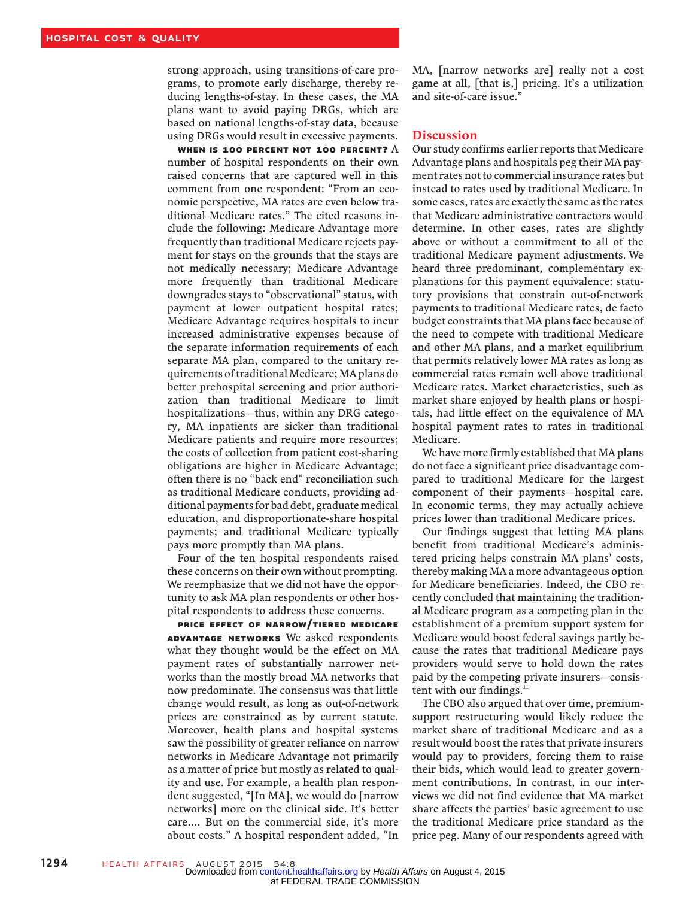strong approach, using transitions-of-care programs, to promote early discharge, thereby reducing lengths-of-stay. In these cases, the MA plans want to avoid paying DRGs, which are based on national lengths-of-stay data, because using DRGs would result in excessive payments.

WHEN IS 100 PERCENT NOT 100 PERCENT?  $\rm A$ number of hospital respondents on their own raised concerns that are captured well in this comment from one respondent: "From an economic perspective, MA rates are even below traditional Medicare rates." The cited reasons include the following: Medicare Advantage more frequently than traditional Medicare rejects payment for stays on the grounds that the stays are not medically necessary; Medicare Advantage more frequently than traditional Medicare downgrades stays to "observational" status, with payment at lower outpatient hospital rates; Medicare Advantage requires hospitals to incur increased administrative expenses because of the separate information requirements of each separate MA plan, compared to the unitary requirements of traditional Medicare; MA plans do better prehospital screening and prior authorization than traditional Medicare to limit hospitalizations—thus, within any DRG category, MA inpatients are sicker than traditional Medicare patients and require more resources; the costs of collection from patient cost-sharing obligations are higher in Medicare Advantage; often there is no "back end" reconciliation such as traditional Medicare conducts, providing additional payments for bad debt, graduate medical education, and disproportionate-share hospital payments; and traditional Medicare typically pays more promptly than MA plans.

Four of the ten hospital respondents raised these concerns on their own without prompting. We reemphasize that we did not have the opportunity to ask MA plan respondents or other hospital respondents to address these concerns.

Price Effect Of Narrow/Tiered Medicare Advantage Networks We asked respondents what they thought would be the effect on MA payment rates of substantially narrower networks than the mostly broad MA networks that now predominate. The consensus was that little change would result, as long as out-of-network prices are constrained as by current statute. Moreover, health plans and hospital systems saw the possibility of greater reliance on narrow networks in Medicare Advantage not primarily as a matter of price but mostly as related to quality and use. For example, a health plan respondent suggested, "[In MA], we would do [narrow networks] more on the clinical side. It's better care…. But on the commercial side, it's more about costs." A hospital respondent added, "In

MA, [narrow networks are] really not a cost game at all, [that is,] pricing. It's a utilization and site-of-care issue."

#### **Discussion**

Our study confirms earlier reports that Medicare Advantage plans and hospitals peg their MA payment rates not to commercial insurance rates but instead to rates used by traditional Medicare. In some cases, rates are exactly the same as the rates that Medicare administrative contractors would determine. In other cases, rates are slightly above or without a commitment to all of the traditional Medicare payment adjustments. We heard three predominant, complementary explanations for this payment equivalence: statutory provisions that constrain out-of-network payments to traditional Medicare rates, de facto budget constraints that MA plans face because of the need to compete with traditional Medicare and other MA plans, and a market equilibrium that permits relatively lower MA rates as long as commercial rates remain well above traditional Medicare rates. Market characteristics, such as market share enjoyed by health plans or hospitals, had little effect on the equivalence of MA hospital payment rates to rates in traditional Medicare.

We have more firmly established that MA plans do not face a significant price disadvantage compared to traditional Medicare for the largest component of their payments—hospital care. In economic terms, they may actually achieve prices lower than traditional Medicare prices.

Our findings suggest that letting MA plans benefit from traditional Medicare's administered pricing helps constrain MA plans' costs, thereby making MA a more advantageous option for Medicare beneficiaries. Indeed, the CBO recently concluded that maintaining the traditional Medicare program as a competing plan in the establishment of a premium support system for Medicare would boost federal savings partly because the rates that traditional Medicare pays providers would serve to hold down the rates paid by the competing private insurers—consistent with our findings.<sup>11</sup>

The CBO also argued that over time, premiumsupport restructuring would likely reduce the market share of traditional Medicare and as a result would boost the rates that private insurers would pay to providers, forcing them to raise their bids, which would lead to greater government contributions. In contrast, in our interviews we did not find evidence that MA market share affects the parties' basic agreement to use the traditional Medicare price standard as the price peg. Many of our respondents agreed with